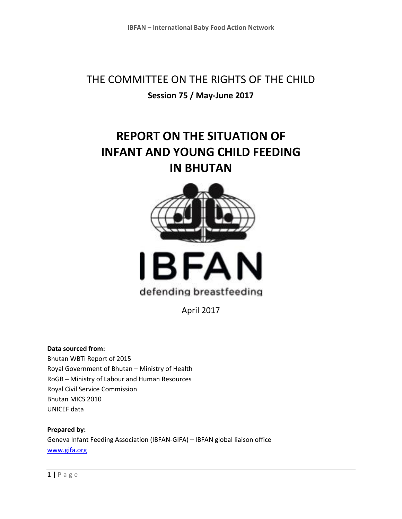## THE COMMITTEE ON THE RIGHTS OF THE CHILD **Session 75 / May-June 2017**

# **REPORT ON THE SITUATION OF INFANT AND YOUNG CHILD FEEDING IN BHUTAN**





# defending breastfeeding

April 2017

**Data sourced from:**

Bhutan WBTi Report of 2015 Royal Government of Bhutan – Ministry of Health RoGB – Ministry of Labour and Human Resources Royal Civil Service Commission Bhutan MICS 2010 UNICEF data

**Prepared by:**  Geneva Infant Feeding Association (IBFAN-GIFA) – IBFAN global liaison office [www.gifa.org](http://www.gifa.org/)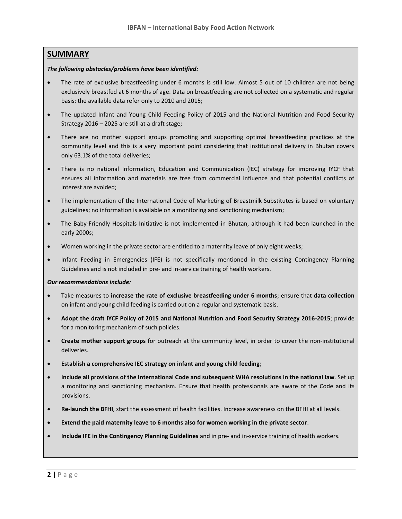#### **SUMMARY**

#### *The following obstacles/problems have been identified:*

- The rate of exclusive breastfeeding under 6 months is still low. Almost 5 out of 10 children are not being exclusively breastfed at 6 months of age. Data on breastfeeding are not collected on a systematic and regular basis: the available data refer only to 2010 and 2015;
- The updated Infant and Young Child Feeding Policy of 2015 and the National Nutrition and Food Security Strategy 2016 – 2025 are still at a draft stage;
- There are no mother support groups promoting and supporting optimal breastfeeding practices at the community level and this is a very important point considering that institutional delivery in Bhutan covers only 63.1% of the total deliveries;
- There is no national Information, Education and Communication (IEC) strategy for improving IYCF that ensures all information and materials are free from commercial influence and that potential conflicts of interest are avoided;
- The implementation of the International Code of Marketing of Breastmilk Substitutes is based on voluntary guidelines; no information is available on a monitoring and sanctioning mechanism;
- The Baby-Friendly Hospitals Initiative is not implemented in Bhutan, although it had been launched in the early 2000s;
- Women working in the private sector are entitled to a maternity leave of only eight weeks;
- Infant Feeding in Emergencies (IFE) is not specifically mentioned in the existing Contingency Planning Guidelines and is not included in pre- and in-service training of health workers.

#### *Our recommendations include:*

- Take measures to **increase the rate of exclusive breastfeeding under 6 months**; ensure that **data collection** on infant and young child feeding is carried out on a regular and systematic basis.
- **Adopt the draft IYCF Policy of 2015 and National Nutrition and Food Security Strategy 2016-2015**; provide for a monitoring mechanism of such policies.
- **Create mother support groups** for outreach at the community level, in order to cover the non-institutional deliveries.
- **Establish a comprehensive IEC strategy on infant and young child feeding**;
- **Include all provisions of the International Code and subsequent WHA resolutions in the national law**. Set up a monitoring and sanctioning mechanism. Ensure that health professionals are aware of the Code and its provisions.
- **Re-launch the BFHI**, start the assessment of health facilities. Increase awareness on the BFHI at all levels.
- **Extend the paid maternity leave to 6 months also for women working in the private sector**.
- **Include IFE in the Contingency Planning Guidelines** and in pre- and in-service training of health workers.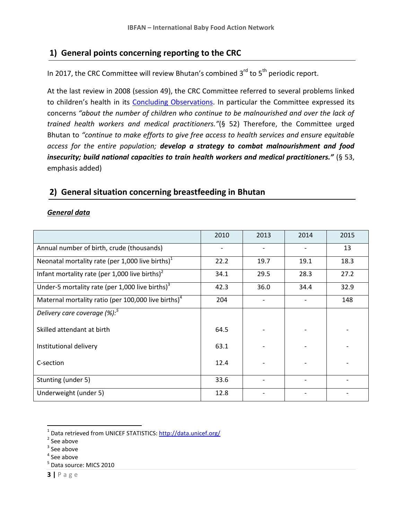## **1) General points concerning reporting to the CRC**

In 2017, the CRC Committee will review Bhutan's combined 3<sup>rd</sup> to 5<sup>th</sup> periodic report.

At the last review in 2008 (session 49), the CRC Committee referred to several problems linked to children's health in its [Concluding Observations.](http://tbinternet.ohchr.org/_layouts/treatybodyexternal/Download.aspx?symbolno=CRC%2fC%2fBTN%2fCO%2f2&Lang=en) In particular the Committee expressed its concerns *"about the number of children who continue to be malnourished and over the lack of trained health workers and medical practitioners."*(§ 52) Therefore, the Committee urged Bhutan to *"continue to make efforts to give free access to health services and ensure equitable access for the entire population; develop a strategy to combat malnourishment and food insecurity; build national capacities to train health workers and medical practitioners."* (§ 53, emphasis added)

## **2) General situation concerning breastfeeding in Bhutan**

#### *General data*

|                                                                 | 2010 | 2013 | 2014 | 2015 |
|-----------------------------------------------------------------|------|------|------|------|
| Annual number of birth, crude (thousands)                       |      |      |      | 13   |
| Neonatal mortality rate (per 1,000 live births) <sup>1</sup>    | 22.2 | 19.7 | 19.1 | 18.3 |
| Infant mortality rate (per 1,000 live births) <sup>2</sup>      | 34.1 | 29.5 | 28.3 | 27.2 |
| Under-5 mortality rate (per 1,000 live births) $3$              | 42.3 | 36.0 | 34.4 | 32.9 |
| Maternal mortality ratio (per 100,000 live births) <sup>4</sup> | 204  |      |      | 148  |
| Delivery care coverage $(%)$ :                                  |      |      |      |      |
| Skilled attendant at birth                                      | 64.5 |      |      |      |
| Institutional delivery                                          | 63.1 |      |      |      |
| C-section                                                       | 12.4 |      |      |      |
| Stunting (under 5)                                              | 33.6 |      |      |      |
| Underweight (under 5)                                           | 12.8 |      |      |      |

 $\overline{\phantom{a}}$ 

**3 |** P a g e

<sup>&</sup>lt;sup>1</sup> Data retrieved from UNICEF STATISTICS:<http://data.unicef.org/>

<sup>&</sup>lt;sup>2</sup> See above

 $3$  See above

<sup>4</sup> See above

<sup>&</sup>lt;sup>5</sup> Data source: MICS 2010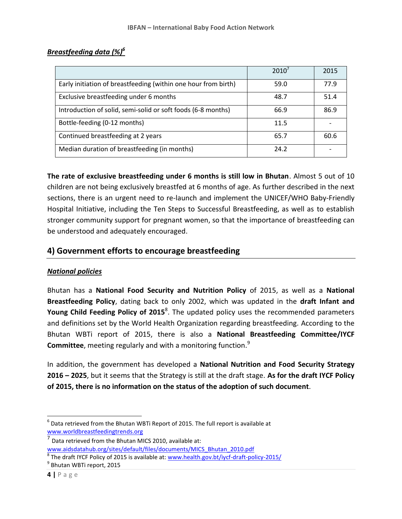### *Breastfeeding data (%)<sup>6</sup>*

|                                                                | 2010' | 2015 |
|----------------------------------------------------------------|-------|------|
| Early initiation of breastfeeding (within one hour from birth) | 59.0  | 77.9 |
| Exclusive breastfeeding under 6 months                         | 48.7  | 51.4 |
| Introduction of solid, semi-solid or soft foods (6-8 months)   | 66.9  | 86.9 |
| Bottle-feeding (0-12 months)                                   | 11.5  |      |
| Continued breastfeeding at 2 years                             | 65.7  | 60.6 |
| Median duration of breastfeeding (in months)                   | 24.2  |      |

**The rate of exclusive breastfeeding under 6 months is still low in Bhutan**. Almost 5 out of 10 children are not being exclusively breastfed at 6 months of age. As further described in the next sections, there is an urgent need to re-launch and implement the UNICEF/WHO Baby-Friendly Hospital Initiative, including the Ten Steps to Successful Breastfeeding, as well as to establish stronger community support for pregnant women, so that the importance of breastfeeding can be understood and adequately encouraged.

## **4) Government efforts to encourage breastfeeding**

#### *National policies*

Bhutan has a **National Food Security and Nutrition Policy** of 2015, as well as a **National Breastfeeding Policy**, dating back to only 2002, which was updated in the **draft Infant and Young Child Feeding Policy of 2015**<sup>8</sup>. The updated policy uses the recommended parameters and definitions set by the World Health Organization regarding breastfeeding. According to the Bhutan WBTi report of 2015, there is also a **National Breastfeeding Committee/IYCF Committee**, meeting regularly and with a monitoring function.<sup>9</sup>

In addition, the government has developed a **National Nutrition and Food Security Strategy 2016 – 2025**, but it seems that the Strategy is still at the draft stage. **As for the draft IYCF Policy of 2015, there is no information on the status of the adoption of such document**.

<sup>9</sup> Bhutan WBTi report, 2015

 $^6$  Data retrieved from the Bhutan WBTi Report of 2015. The full report is available at [www.worldbreastfeedingtrends.org](http://www.worldbreastfeedingtrends.org/)

<sup>7</sup> Data retrieved from the Bhutan MICS 2010, available at: [www.aidsdatahub.org/sites/default/files/documents/MICS\\_Bhutan\\_2010.pdf](http://www.aidsdatahub.org/sites/default/files/documents/MICS_Bhutan_2010.pdf)

<sup>&</sup>lt;sup>8</sup> The draft IYCF Policy of 2015 is available at[: www.health.gov.bt/iycf-draft-policy-2015/](http://www.health.gov.bt/iycf-draft-policy-2015/)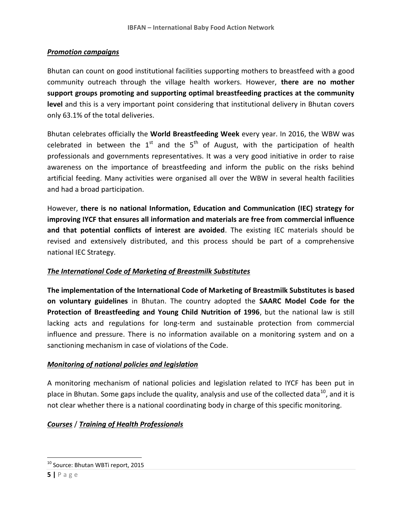#### *Promotion campaigns*

Bhutan can count on good institutional facilities supporting mothers to breastfeed with a good community outreach through the village health workers. However, **there are no mother support groups promoting and supporting optimal breastfeeding practices at the community**  level and this is a very important point considering that institutional delivery in Bhutan covers only 63.1% of the total deliveries.

Bhutan celebrates officially the **World Breastfeeding Week** every year. In 2016, the WBW was celebrated in between the  $1<sup>st</sup>$  and the  $5<sup>th</sup>$  of August, with the participation of health professionals and governments representatives. It was a very good initiative in order to raise awareness on the importance of breastfeeding and inform the public on the risks behind artificial feeding. Many activities were organised all over the WBW in several health facilities and had a broad participation.

However, **there is no national Information, Education and Communication (IEC) strategy for improving IYCF that ensures all information and materials are free from commercial influence and that potential conflicts of interest are avoided**. The existing IEC materials should be revised and extensively distributed, and this process should be part of a comprehensive national IEC Strategy.

### *The International Code of Marketing of Breastmilk Substitutes*

**The implementation of the International Code of Marketing of Breastmilk Substitutes is based on voluntary guidelines** in Bhutan. The country adopted the **SAARC Model Code for the Protection of Breastfeeding and Young Child Nutrition of 1996**, but the national law is still lacking acts and regulations for long-term and sustainable protection from commercial influence and pressure. There is no information available on a monitoring system and on a sanctioning mechanism in case of violations of the Code.

### *Monitoring of national policies and legislation*

A monitoring mechanism of national policies and legislation related to IYCF has been put in place in Bhutan. Some gaps include the quality, analysis and use of the collected data<sup>10</sup>, and it is not clear whether there is a national coordinating body in charge of this specific monitoring.

### *Courses* / *Training of Health Professionals*

<sup>&</sup>lt;sup>10</sup> Source: Bhutan WBTi report, 2015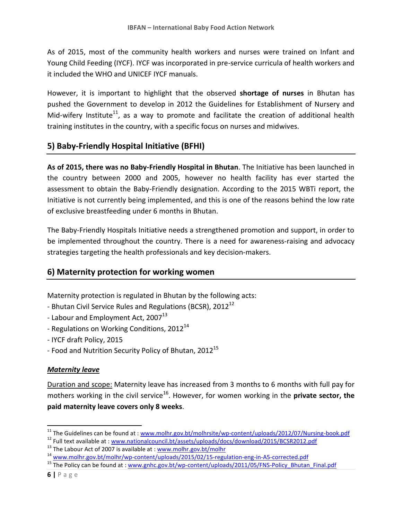As of 2015, most of the community health workers and nurses were trained on Infant and Young Child Feeding (IYCF). IYCF was incorporated in pre-service curricula of health workers and it included the WHO and UNICEF IYCF manuals.

However, it is important to highlight that the observed **shortage of nurses** in Bhutan has pushed the Government to develop in 2012 the Guidelines for Establishment of Nursery and Mid-wifery Institute<sup>11</sup>, as a way to promote and facilitate the creation of additional health training institutes in the country, with a specific focus on nurses and midwives.

## **5) Baby-Friendly Hospital Initiative (BFHI)**

**As of 2015, there was no Baby-Friendly Hospital in Bhutan**. The Initiative has been launched in the country between 2000 and 2005, however no health facility has ever started the assessment to obtain the Baby-Friendly designation. According to the 2015 WBTi report, the Initiative is not currently being implemented, and this is one of the reasons behind the low rate of exclusive breastfeeding under 6 months in Bhutan.

The Baby-Friendly Hospitals Initiative needs a strengthened promotion and support, in order to be implemented throughout the country. There is a need for awareness-raising and advocacy strategies targeting the health professionals and key decision-makers.

## **6) Maternity protection for working women**

Maternity protection is regulated in Bhutan by the following acts:

- Bhutan Civil Service Rules and Regulations (BCSR),  $2012^{12}$
- Labour and Employment Act,  $2007^{13}$
- Regulations on Working Conditions, 2012<sup>14</sup>
- IYCF draft Policy, 2015
- Food and Nutrition Security Policy of Bhutan, 2012<sup>15</sup>

### *Maternity leave*

Duration and scope: Maternity leave has increased from 3 months to 6 months with full pay for mothers working in the civil service<sup>16</sup>. However, for women working in the **private sector, the paid maternity leave covers only 8 weeks**.

<sup>&</sup>lt;sup>11</sup> The Guidelines can be found at : [www.molhr.gov.bt/molhrsite/wp-content/uploads/2012/07/Nursing-book.pdf](http://www.molhr.gov.bt/molhrsite/wp-content/uploads/2012/07/Nursing-book.pdf)

<sup>&</sup>lt;sup>12</sup> Full text available at : [www.nationalcouncil.bt/assets/uploads/docs/download/2015/BCSR2012.pdf](http://www.nationalcouncil.bt/assets/uploads/docs/download/2015/BCSR2012.pdf)

 $13$  The Labour Act of 2007 is available at [: www.molhr.gov.bt/molhr](http://www.molhr.gov.bt/molhr)

<sup>&</sup>lt;sup>14</sup> [www.molhr.gov.bt/molhr/wp-content/uploads/2015/02/15-regulation-eng-in-A5-corrected.pdf](http://www.molhr.gov.bt/molhr/wp-content/uploads/2015/02/15-regulation-eng-in-A5-corrected.pdf)

<sup>&</sup>lt;sup>15</sup> The Policy can be found at : [www.gnhc.gov.bt/wp-content/uploads/2011/05/FNS-Policy\\_Bhutan\\_Final.pdf](http://www.gnhc.gov.bt/wp-content/uploads/2011/05/FNS-Policy_Bhutan_Final.pdf)